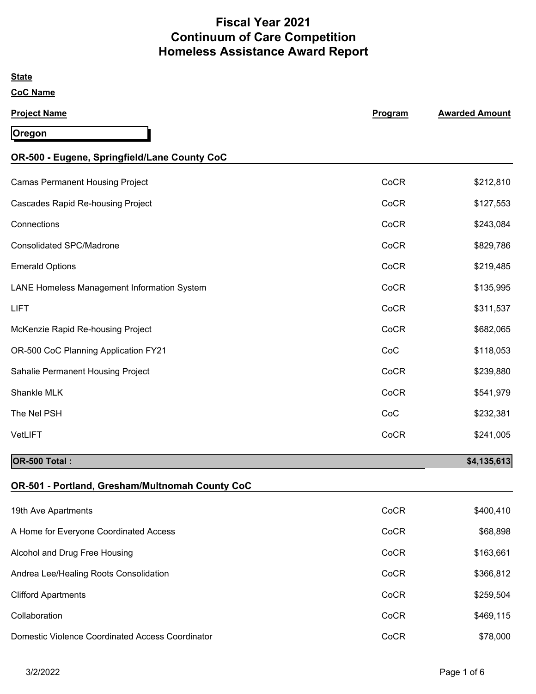# **Fiscal Year 2021 Continuum of Care Competition Homeless Assistance Award Report**

| <b>State</b>                                     |         |                       |
|--------------------------------------------------|---------|-----------------------|
| <b>CoC Name</b>                                  |         |                       |
| <b>Project Name</b>                              | Program | <b>Awarded Amount</b> |
| <b>Oregon</b>                                    |         |                       |
| OR-500 - Eugene, Springfield/Lane County CoC     |         |                       |
| <b>Camas Permanent Housing Project</b>           | CoCR    | \$212,810             |
| <b>Cascades Rapid Re-housing Project</b>         | CoCR    | \$127,553             |
| Connections                                      | CoCR    | \$243,084             |
| <b>Consolidated SPC/Madrone</b>                  | CoCR    | \$829,786             |
| <b>Emerald Options</b>                           | CoCR    | \$219,485             |
| LANE Homeless Management Information System      | CoCR    | \$135,995             |
| <b>LIFT</b>                                      | CoCR    | \$311,537             |
| McKenzie Rapid Re-housing Project                | CoCR    | \$682,065             |
| OR-500 CoC Planning Application FY21             | CoC     | \$118,053             |
| Sahalie Permanent Housing Project                | CoCR    | \$239,880             |
| Shankle MLK                                      | CoCR    | \$541,979             |
| The Nel PSH                                      | CoC     | \$232,381             |
| VetLIFT                                          | CoCR    | \$241,005             |
| OR-500 Total:                                    |         | \$4,135,613           |
| OR-501 - Portland, Gresham/Multnomah County CoC  |         |                       |
| 19th Ave Apartments                              | CoCR    | \$400,410             |
| A Home for Everyone Coordinated Access           | CoCR    | \$68,898              |
| Alcohol and Drug Free Housing                    | CoCR    | \$163,661             |
| Andrea Lee/Healing Roots Consolidation           | CoCR    | \$366,812             |
| <b>Clifford Apartments</b>                       | CoCR    | \$259,504             |
| Collaboration                                    | CoCR    | \$469,115             |
| Domestic Violence Coordinated Access Coordinator | CoCR    | \$78,000              |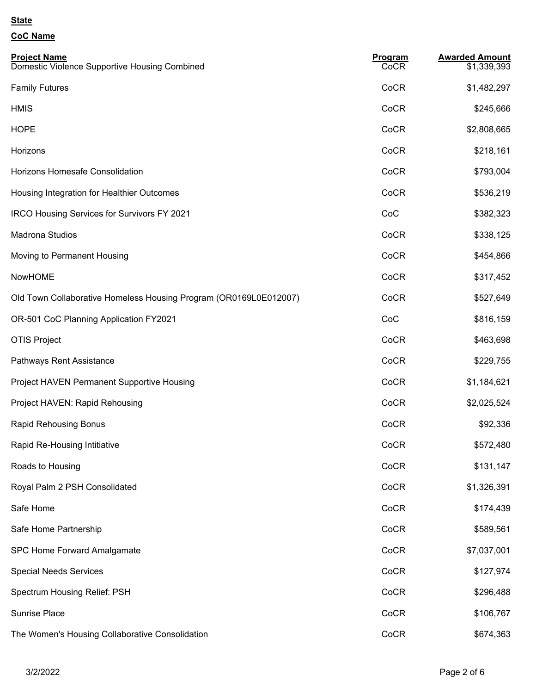## **CoC Name**

| <b>Project Name</b><br>Domestic Violence Supportive Housing Combined | Program<br>CoCR | <b>Awarded Amount</b><br>\$1,339,393 |
|----------------------------------------------------------------------|-----------------|--------------------------------------|
| <b>Family Futures</b>                                                | CoCR            | \$1,482,297                          |
| <b>HMIS</b>                                                          | CoCR            | \$245,666                            |
| <b>HOPE</b>                                                          | CoCR            | \$2,808,665                          |
| Horizons                                                             | CoCR            | \$218,161                            |
| Horizons Homesafe Consolidation                                      | CoCR            | \$793,004                            |
| Housing Integration for Healthier Outcomes                           | CoCR            | \$536,219                            |
| IRCO Housing Services for Survivors FY 2021                          | CoC             | \$382,323                            |
| Madrona Studios                                                      | CoCR            | \$338,125                            |
| Moving to Permanent Housing                                          | CoCR            | \$454,866                            |
| <b>NowHOME</b>                                                       | CoCR            | \$317,452                            |
| Old Town Collaborative Homeless Housing Program (OR0169L0E012007)    | CoCR            | \$527,649                            |
| OR-501 CoC Planning Application FY2021                               | CoC             | \$816,159                            |
| OTIS Project                                                         | CoCR            | \$463,698                            |
| Pathways Rent Assistance                                             | CoCR            | \$229,755                            |
| Project HAVEN Permanent Supportive Housing                           | CoCR            | \$1,184,621                          |
| Project HAVEN: Rapid Rehousing                                       | CoCR            | \$2,025,524                          |
| <b>Rapid Rehousing Bonus</b>                                         | CoCR            | \$92,336                             |
| Rapid Re-Housing Intitiative                                         | CoCR            | \$572,480                            |
| Roads to Housing                                                     | CoCR            | \$131,147                            |
| Royal Palm 2 PSH Consolidated                                        | CoCR            | \$1,326,391                          |
| Safe Home                                                            | CoCR            | \$174,439                            |
| Safe Home Partnership                                                | CoCR            | \$589,561                            |
| SPC Home Forward Amalgamate                                          | CoCR            | \$7,037,001                          |
| <b>Special Needs Services</b>                                        | CoCR            | \$127,974                            |
| Spectrum Housing Relief: PSH                                         | CoCR            | \$296,488                            |
| Sunrise Place                                                        | CoCR            | \$106,767                            |
| The Women's Housing Collaborative Consolidation                      | CoCR            | \$674,363                            |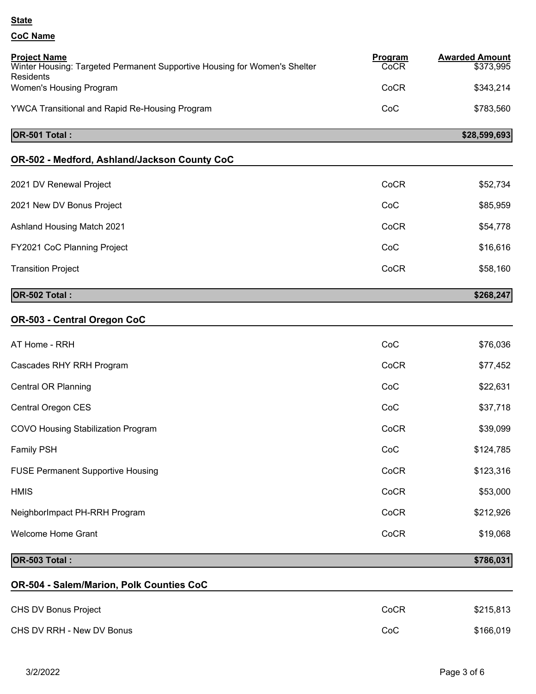#### **CoC Name**

| <b>Project Name</b>                                                       | Program | <b>Awarded Amount</b> |
|---------------------------------------------------------------------------|---------|-----------------------|
| Winter Housing: Targeted Permanent Supportive Housing for Women's Shelter | CoCR    | \$373.995             |
| Residents                                                                 |         |                       |
| Women's Housing Program                                                   | CoCR    | \$343,214             |
|                                                                           |         |                       |
| <b>YWCA Transitional and Rapid Re-Housing Program</b>                     | CoC     | \$783.560             |
|                                                                           |         |                       |
|                                                                           |         |                       |

## **OR-501 Total :** \$28,599,693

#### **OR-502 - Medford, Ashland/Jackson County CoC**

| <b>OR-502 Total:</b>        |      | \$268,247 |
|-----------------------------|------|-----------|
| <b>Transition Project</b>   | CoCR | \$58,160  |
| FY2021 CoC Planning Project | CoC  | \$16,616  |
| Ashland Housing Match 2021  | CoCR | \$54,778  |
| 2021 New DV Bonus Project   | CoC  | \$85,959  |
| 2021 DV Renewal Project     | CoCR | \$52,734  |
|                             |      |           |

#### **OR-503 - Central Oregon CoC**

| AT Home - RRH                            | CoC  | \$76,036  |
|------------------------------------------|------|-----------|
| Cascades RHY RRH Program                 | CoCR | \$77,452  |
| Central OR Planning                      | CoC  | \$22,631  |
| Central Oregon CES                       | CoC  | \$37,718  |
| COVO Housing Stabilization Program       | CoCR | \$39,099  |
| Family PSH                               | CoC  | \$124,785 |
| <b>FUSE Permanent Supportive Housing</b> | CoCR | \$123,316 |
| <b>HMIS</b>                              | CoCR | \$53,000  |
| NeighborImpact PH-RRH Program            | CoCR | \$212,926 |
| <b>Welcome Home Grant</b>                | CoCR | \$19,068  |
|                                          |      |           |

### **OR-503 Total :** \$786,031

### **OR-504 - Salem/Marion, Polk Counties CoC**

| CHS DV Bonus Project      | CoCR | \$215,813 |
|---------------------------|------|-----------|
| CHS DV RRH - New DV Bonus | CoC  | \$166,019 |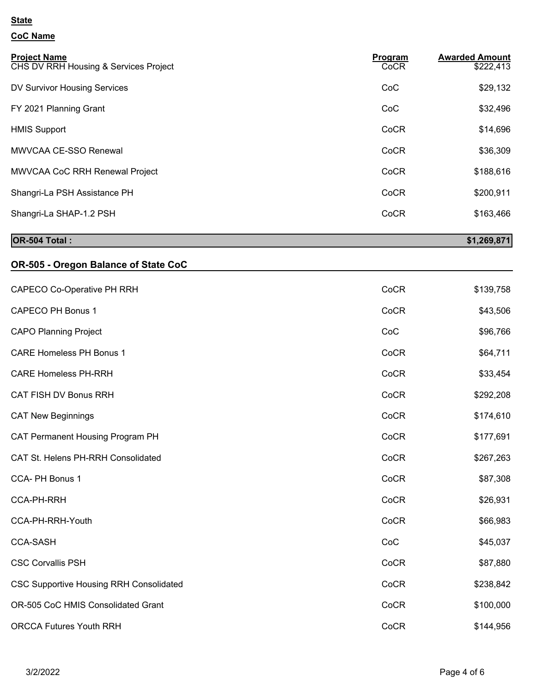## **CoC Name**

| <b>Project Name</b><br>CHS DV RRH Housing & Services Project | Program<br>CoCR | <b>Awarded Amount</b><br>\$222,413 |
|--------------------------------------------------------------|-----------------|------------------------------------|
| DV Survivor Housing Services                                 | CoC             | \$29,132                           |
| FY 2021 Planning Grant                                       | CoC             | \$32,496                           |
| <b>HMIS Support</b>                                          | CoCR            | \$14,696                           |
| MWVCAA CE-SSO Renewal                                        | CoCR            | \$36,309                           |
| <b>MWVCAA CoC RRH Renewal Project</b>                        | CoCR            | \$188,616                          |
| Shangri-La PSH Assistance PH                                 | CoCR            | \$200,911                          |
| Shangri-La SHAP-1.2 PSH                                      | CoCR            | \$163,466                          |

## **OR-504 Total :** \$1,269,871

## **OR-505 - Oregon Balance of State CoC**

| <b>CAPECO Co-Operative PH RRH</b>              | CoCR | \$139,758 |
|------------------------------------------------|------|-----------|
| <b>CAPECO PH Bonus 1</b>                       | CoCR | \$43,506  |
| <b>CAPO Planning Project</b>                   | CoC  | \$96,766  |
| <b>CARE Homeless PH Bonus 1</b>                | CoCR | \$64,711  |
| <b>CARE Homeless PH-RRH</b>                    | CoCR | \$33,454  |
| CAT FISH DV Bonus RRH                          | CoCR | \$292,208 |
| <b>CAT New Beginnings</b>                      | CoCR | \$174,610 |
| CAT Permanent Housing Program PH               | CoCR | \$177,691 |
| CAT St. Helens PH-RRH Consolidated             | CoCR | \$267,263 |
| CCA- PH Bonus 1                                | CoCR | \$87,308  |
| <b>CCA-PH-RRH</b>                              | CoCR | \$26,931  |
| CCA-PH-RRH-Youth                               | CoCR | \$66,983  |
| <b>CCA-SASH</b>                                | CoC  | \$45,037  |
| <b>CSC Corvallis PSH</b>                       | CoCR | \$87,880  |
| <b>CSC Supportive Housing RRH Consolidated</b> | CoCR | \$238,842 |
| OR-505 CoC HMIS Consolidated Grant             | CoCR | \$100,000 |
| <b>ORCCA Futures Youth RRH</b>                 | CoCR | \$144,956 |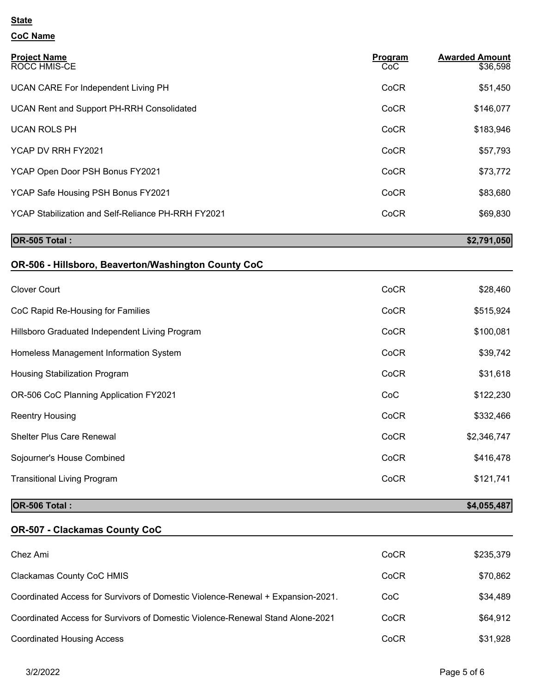**CoC Name**

| <b>Project Name</b><br>ROCC HMIS-CE                | Program<br>CoC | <b>Awarded Amount</b><br>\$36,598 |
|----------------------------------------------------|----------------|-----------------------------------|
| UCAN CARE For Independent Living PH                | CoCR           | \$51,450                          |
| <b>UCAN Rent and Support PH-RRH Consolidated</b>   | CoCR           | \$146,077                         |
| <b>UCAN ROLS PH</b>                                | CoCR           | \$183,946                         |
| YCAP DV RRH FY2021                                 | CoCR           | \$57,793                          |
| YCAP Open Door PSH Bonus FY2021                    | CoCR           | \$73,772                          |
| YCAP Safe Housing PSH Bonus FY2021                 | CoCR           | \$83,680                          |
| YCAP Stabilization and Self-Reliance PH-RRH FY2021 | CoCR           | \$69,830                          |

## **OR-505 Total :** \$2,791,050

### **OR-506 - Hillsboro, Beaverton/Washington County CoC**

| <b>Clover Court</b>                            | CoCR | \$28,460    |
|------------------------------------------------|------|-------------|
| CoC Rapid Re-Housing for Families              | CoCR | \$515,924   |
| Hillsboro Graduated Independent Living Program | CoCR | \$100,081   |
| Homeless Management Information System         | CoCR | \$39,742    |
| Housing Stabilization Program                  | CoCR | \$31,618    |
| OR-506 CoC Planning Application FY2021         | CoC  | \$122,230   |
| <b>Reentry Housing</b>                         | CoCR | \$332,466   |
| <b>Shelter Plus Care Renewal</b>               | CoCR | \$2,346,747 |
| Sojourner's House Combined                     | CoCR | \$416,478   |
| <b>Transitional Living Program</b>             | CoCR | \$121,741   |
|                                                |      |             |

## **OR-506 Total :** \$4,055,487

### **OR-507 - Clackamas County CoC**

| Chez Ami                                                                        | CoCR | \$235,379 |
|---------------------------------------------------------------------------------|------|-----------|
| <b>Clackamas County CoC HMIS</b>                                                | CoCR | \$70,862  |
| Coordinated Access for Survivors of Domestic Violence-Renewal + Expansion-2021. | CoC  | \$34,489  |
| Coordinated Access for Survivors of Domestic Violence-Renewal Stand Alone-2021  | CoCR | \$64,912  |
| <b>Coordinated Housing Access</b>                                               | CoCR | \$31,928  |